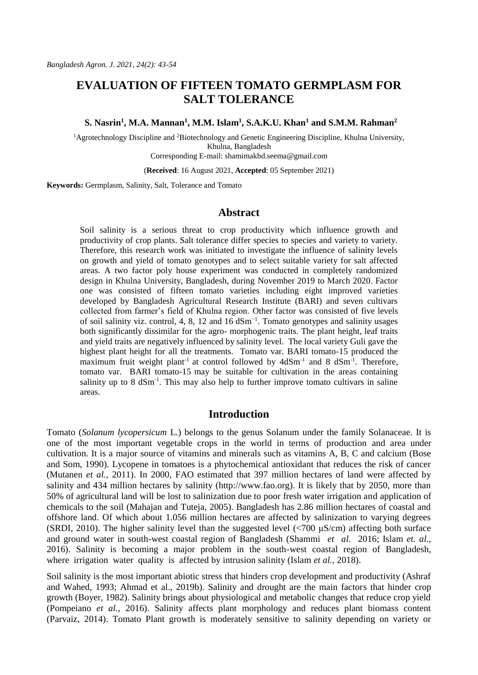# **EVALUATION OF FIFTEEN TOMATO GERMPLASM FOR SALT TOLERANCE**

**S. Nasrin<sup>1</sup> , M.A. Mannan<sup>1</sup> , M.M. Islam<sup>1</sup> , S.A.K.U. Khan<sup>1</sup> and S.M.M. Rahman<sup>2</sup>**

<sup>1</sup>Agrotechnology Discipline and <sup>2</sup>Biotechnology and Genetic Engineering Discipline, Khulna University, Khulna, Bangladesh Corresponding E-mail: shamimakbd.seema@gmail.com

(**Received**: 16 August 2021, **Accepted**: 05 September 2021)

**Keywords:** Germplasm, Salinity, Salt, Tolerance and Tomato

### **Abstract**

Soil salinity is a serious threat to crop productivity which influence growth and productivity of crop plants. Salt tolerance differ species to species and variety to variety. Therefore, this research work was initiated to investigate the influence of salinity levels on growth and yield of tomato genotypes and to select suitable variety for salt affected areas. A two factor poly house experiment was conducted in completely randomized design in Khulna University, Bangladesh, during November 2019 to March 2020. Factor one was consisted of fifteen tomato varieties including eight improved varieties developed by Bangladesh Agricultural Research Institute (BARI) and seven cultivars collected from farmer's field of Khulna region. Other factor was consisted of five levels of soil salinity viz. control, 4, 8, 12 and 16 dSm<sup>-1</sup>. Tomato genotypes and salinity usages both significantly dissimilar for the agro- morphogenic traits. The plant height, leaf traits and yield traits are negatively influenced by salinity level. The local variety Guli gave the highest plant height for all the treatments. Tomato var. BARI tomato-15 produced the maximum fruit weight plant<sup>-1</sup> at control followed by  $4dSm^{-1}$  and 8  $dSm^{-1}$ . Therefore, tomato var. BARI tomato-15 may be suitable for cultivation in the areas containing salinity up to  $8 \text{ dSm}^{-1}$ . This may also help to further improve tomato cultivars in saline areas.

## **Introduction**

Tomato (*Solanum lycopersicum* L.) belongs to the genus Solanum under the family Solanaceae. It is one of the most important vegetable crops in the world in terms of production and area under cultivation. It is a major source of vitamins and minerals such as vitamins A, B, C and calcium (Bose and Som, 1990). Lycopene in tomatoes is a phytochemical antioxidant that reduces the risk of cancer (Mutanen *et al.,* 2011). In 2000, FAO estimated that 397 million hectares of land were affected by salinity and 434 million hectares by salinity (http://www.fao.org). It is likely that by 2050, more than 50% of agricultural land will be lost to salinization due to poor fresh water irrigation and application of chemicals to the soil (Mahajan and Tuteja, 2005). Bangladesh has 2.86 million hectares of coastal and offshore land. Of which about 1.056 million hectares are affected by salinization to varying degrees (SRDI, 2010). The higher salinity level than the suggested level  $\langle 700 \mu S/cm \rangle$  affecting both surface and ground water in south-west coastal region of Bangladesh (Shammi *et al*. 2016; Islam *et. al*., 2016). Salinity is becoming a major problem in the south-west coastal region of Bangladesh, where irrigation water quality is affected by intrusion salinity (Islam *et al.*, 2018).

Soil salinity is the most important abiotic stress that hinders crop development and productivity (Ashraf and Wahed, 1993; Ahmad et al., 2019b). Salinity and drought are the main factors that hinder crop growth (Boyer, 1982). Salinity brings about physiological and metabolic changes that reduce crop yield (Pompeiano *et al.,* 2016). Salinity affects plant morphology and reduces plant biomass content (Parvaiz, 2014). Tomato Plant growth is moderately sensitive to salinity depending on variety or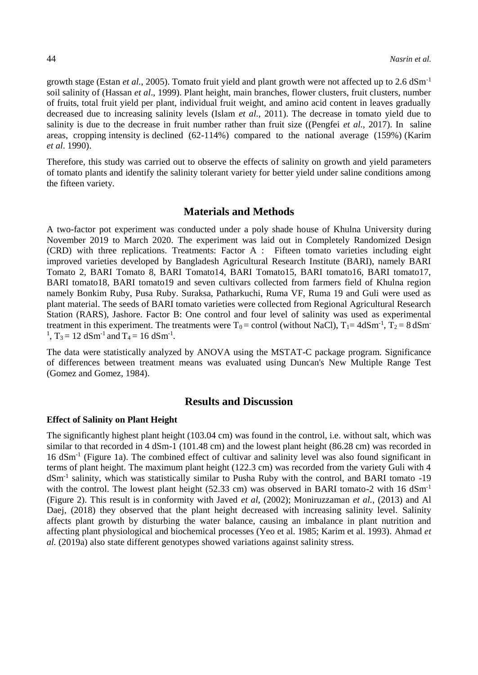growth stage (Estan *et al.,* 2005). Tomato fruit yield and plant growth were not affected up to 2.6 dSm-1 soil salinity of (Hassan *et al*., 1999). Plant height, main branches, flower clusters, fruit clusters, number of fruits, total fruit yield per plant, individual fruit weight, and amino acid content in leaves gradually decreased due to increasing salinity levels (Islam *et al.,* 2011). The decrease in tomato yield due to salinity is due to the decrease in fruit number rather than fruit size ((Pengfei *et al.,* 2017). In saline areas, cropping intensity is declined (62-114%) compared to the national average (159%) (Karim *et al*. 1990).

Therefore, this study was carried out to observe the effects of salinity on growth and yield parameters of tomato plants and identify the salinity tolerant variety for better yield under saline conditions among the fifteen variety.

### **Materials and Methods**

A two-factor pot experiment was conducted under a poly shade house of Khulna University during November 2019 to March 2020. The experiment was laid out in Completely Randomized Design (CRD) with three replications. Treatments: Factor A : Fifteen tomato varieties including eight improved varieties developed by Bangladesh Agricultural Research Institute (BARI), namely BARI Tomato 2, BARI Tomato 8, BARI Tomato14, BARI Tomato15, BARI tomato16, BARI tomato17, BARI tomato18, BARI tomato19 and seven cultivars collected from farmers field of Khulna region namely Bonkim Ruby, Pusa Ruby. Suraksa, Patharkuchi, Ruma VF, Ruma 19 and Guli were used as plant material. The seeds of BARI tomato varieties were collected from Regional Agricultural Research Station (RARS), Jashore. Factor B: One control and four level of salinity was used as experimental treatment in this experiment. The treatments were  $T_0 =$  control (without NaCl),  $T_1 = 4dSm^{-1}$ ,  $T_2 = 8dSm^{-1}$ <sup>1</sup>, T<sub>3</sub> = 12 dSm<sup>-1</sup> and T<sub>4</sub> = 16 dSm<sup>-1</sup>.

The data were statistically analyzed by ANOVA using the MSTAT-C package program. Significance of differences between treatment means was evaluated using Duncan's New Multiple Range Test (Gomez and Gomez, 1984).

### **Results and Discussion**

#### **Effect of Salinity on Plant Height**

The significantly highest plant height (103.04 cm) was found in the control, i.e. without salt, which was similar to that recorded in 4 dSm-1 (101.48 cm) and the lowest plant height (86.28 cm) was recorded in 16 dSm-1 (Figure 1a). The combined effect of cultivar and salinity level was also found significant in terms of plant height. The maximum plant height (122.3 cm) was recorded from the variety Guli with 4 dSm-1 salinity, which was statistically similar to Pusha Ruby with the control, and BARI tomato -19 with the control. The lowest plant height (52.33 cm) was observed in BARI tomato-2 with 16  $dSm^{-1}$ (Figure 2). This result is in conformity with Javed *et al,* (2002); Moniruzzaman *et al.*, (2013) and Al Daej, (2018) they observed that the plant height decreased with increasing salinity level. Salinity affects plant growth by disturbing the water balance, causing an imbalance in plant nutrition and affecting plant physiological and biochemical processes (Yeo et al. 1985; Karim et al. 1993). Ahmad *et al.* (2019a) also state different genotypes showed variations against salinity stress.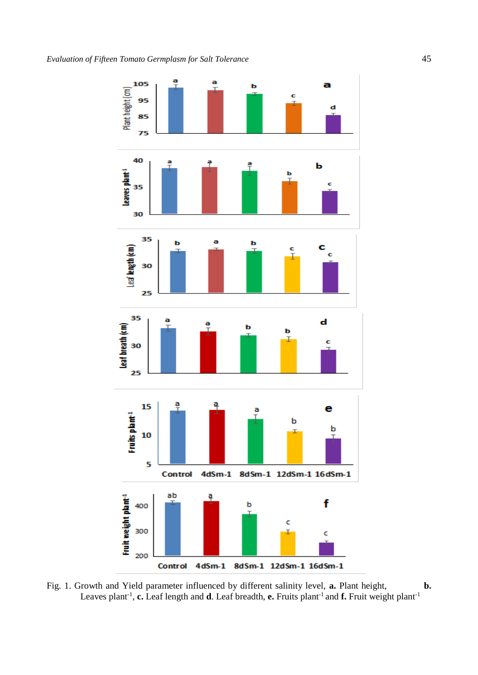

Fig. 1. Growth and Yield parameter influenced by different salinity level, **a.** Plant height, **b.** Leaves plant<sup>-1</sup>, c. Leaf length and **d**. Leaf breadth, e. Fruits plant<sup>-1</sup> and f. Fruit weight plant<sup>-1</sup>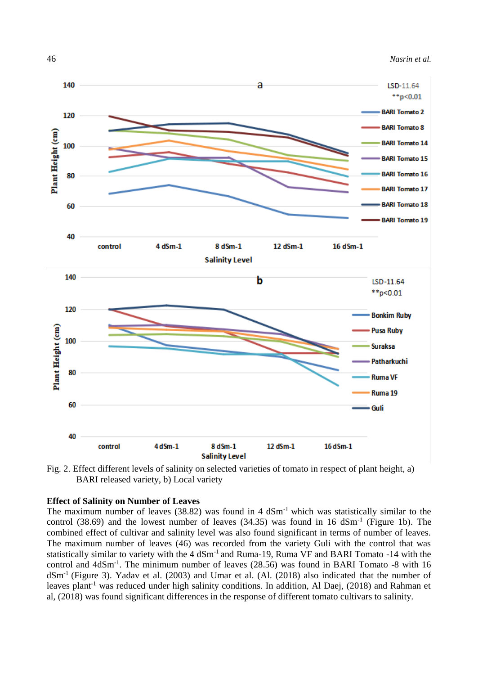

Fig. 2. Effect different levels of salinity on selected varieties of tomato in respect of plant height, a) BARI released variety, b) Local variety

#### **Effect of Salinity on Number of Leaves**

The maximum number of leaves  $(38.82)$  was found in 4 dSm<sup>-1</sup> which was statistically similar to the control  $(38.69)$  and the lowest number of leaves  $(34.35)$  was found in 16 dSm<sup>-1</sup> (Figure 1b). The combined effect of cultivar and salinity level was also found significant in terms of number of leaves. The maximum number of leaves (46) was recorded from the variety Guli with the control that was statistically similar to variety with the 4 dSm<sup>-1</sup> and Ruma-19, Ruma VF and BARI Tomato -14 with the control and 4dSm-1 . The minimum number of leaves (28.56) was found in BARI Tomato -8 with 16 dSm-1 (Figure 3). Yadav et al. (2003) and Umar et al. (Al. (2018) also indicated that the number of leaves plant<sup>-1</sup> was reduced under high salinity conditions. In addition, Al Daej, (2018) and Rahman et al, (2018) was found significant differences in the response of different tomato cultivars to salinity.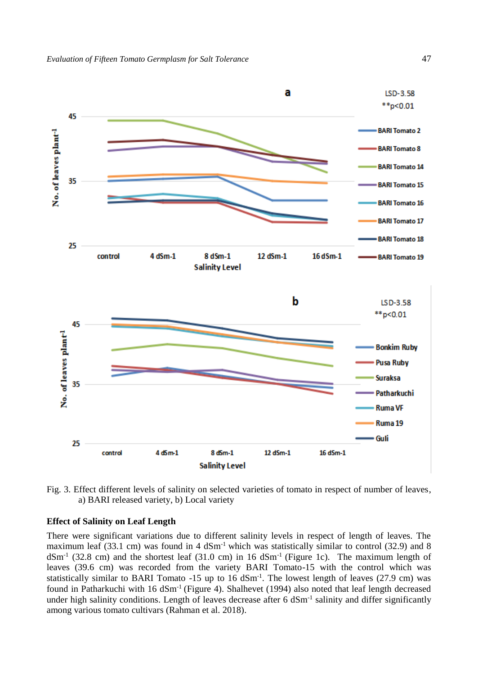

Fig. 3. Effect different levels of salinity on selected varieties of tomato in respect of number of leaves, a) BARI released variety, b) Local variety

#### **Effect of Salinity on Leaf Length**

There were significant variations due to different salinity levels in respect of length of leaves. The maximum leaf (33.1 cm) was found in  $4 \text{ dSm}^{-1}$  which was statistically similar to control (32.9) and 8  $dSm<sup>-1</sup>$  (32.8 cm) and the shortest leaf (31.0 cm) in 16  $dSm<sup>-1</sup>$  (Figure 1c). The maximum length of leaves (39.6 cm) was recorded from the variety BARI Tomato-15 with the control which was statistically similar to BARI Tomato -15 up to 16 dSm<sup>-1</sup>. The lowest length of leaves (27.9 cm) was found in Patharkuchi with 16 dSm<sup>-1</sup> (Figure 4). Shalhevet (1994) also noted that leaf length decreased under high salinity conditions. Length of leaves decrease after  $6 \text{ dSm}^{-1}$  salinity and differ significantly among various tomato cultivars (Rahman et al. 2018).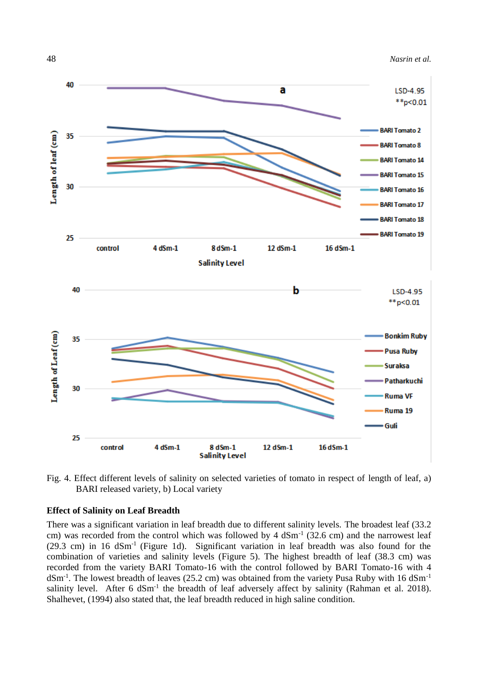

Fig. 4. Effect different levels of salinity on selected varieties of tomato in respect of length of leaf, a) BARI released variety, b) Local variety

### **Effect of Salinity on Leaf Breadth**

There was a significant variation in leaf breadth due to different salinity levels. The broadest leaf (33.2 cm) was recorded from the control which was followed by  $4 \text{ dSm}^{-1}$  (32.6 cm) and the narrowest leaf (29.3 cm) in 16 dSm-1 (Figure 1d). Significant variation in leaf breadth was also found for the combination of varieties and salinity levels (Figure 5). The highest breadth of leaf (38.3 cm) was recorded from the variety BARI Tomato-16 with the control followed by BARI Tomato-16 with 4  $dSm<sup>-1</sup>$ . The lowest breadth of leaves (25.2 cm) was obtained from the variety Pusa Ruby with 16  $dSm<sup>-1</sup>$ salinity level. After  $6 \text{ dSm}^{-1}$  the breadth of leaf adversely affect by salinity (Rahman et al. 2018). Shalhevet, (1994) also stated that, the leaf breadth reduced in high saline condition.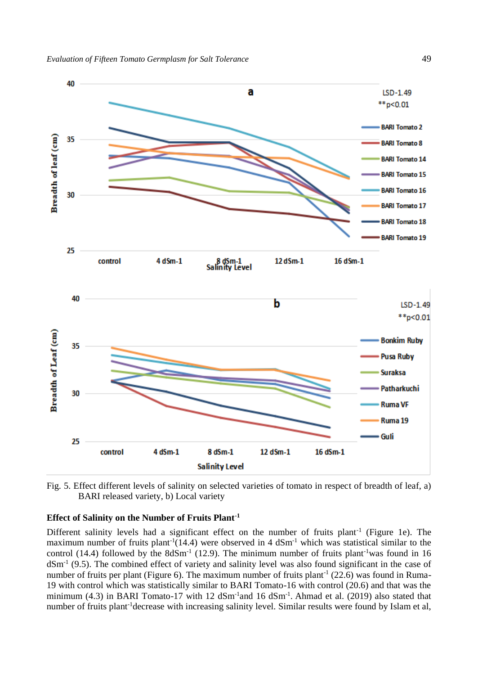

Fig. 5. Effect different levels of salinity on selected varieties of tomato in respect of breadth of leaf, a) BARI released variety, b) Local variety

#### **Effect of Salinity on the Number of Fruits Plant-1**

Different salinity levels had a significant effect on the number of fruits plant<sup>-1</sup> (Figure 1e). The maximum number of fruits plant<sup>-1</sup>(14.4) were observed in 4  $dSm<sup>-1</sup>$  which was statistical similar to the control (14.4) followed by the  $8dSm^{-1}$  (12.9). The minimum number of fruits plant<sup>-1</sup>was found in 16  $dSm<sup>-1</sup>$  (9.5). The combined effect of variety and salinity level was also found significant in the case of number of fruits per plant (Figure 6). The maximum number of fruits plant<sup>-1</sup> (22.6) was found in Ruma-19 with control which was statistically similar to BARI Tomato-16 with control (20.6) and that was the minimum (4.3) in BARI Tomato-17 with 12  $dSm<sup>-1</sup>$  and 16  $dSm<sup>-1</sup>$ . Ahmad et al. (2019) also stated that number of fruits plant-1decrease with increasing salinity level. Similar results were found by Islam et al,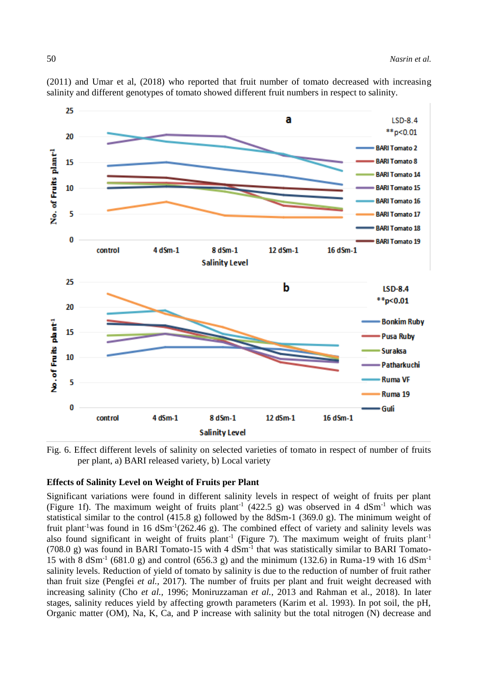

(2011) and Umar et al, (2018) who reported that fruit number of tomato decreased with increasing salinity and different genotypes of tomato showed different fruit numbers in respect to salinity.

Fig. 6. Effect different levels of salinity on selected varieties of tomato in respect of number of fruits per plant, a) BARI released variety, b) Local variety

#### **Effects of Salinity Level on Weight of Fruits per Plant**

Significant variations were found in different salinity levels in respect of weight of fruits per plant (Figure 1f). The maximum weight of fruits plant<sup>-1</sup> (422.5 g) was observed in 4 dSm<sup>-1</sup> which was statistical similar to the control  $(415.8 \text{ g})$  followed by the 8dSm-1  $(369.0 \text{ g})$ . The minimum weight of fruit plant<sup>-1</sup>was found in 16 dSm<sup>-1</sup>(262.46 g). The combined effect of variety and salinity levels was also found significant in weight of fruits plant<sup>-1</sup> (Figure 7). The maximum weight of fruits plant<sup>-1</sup> (708.0 g) was found in BARI Tomato-15 with  $4 \text{ dSm}^{-1}$  that was statistically similar to BARI Tomato-15 with 8  $dSm^{-1}$  (681.0 g) and control (656.3 g) and the minimum (132.6) in Ruma-19 with 16  $dSm^{-1}$ salinity levels. Reduction of yield of tomato by salinity is due to the reduction of number of fruit rather than fruit size (Pengfei *et al.,* 2017). The number of fruits per plant and fruit weight decreased with increasing salinity (Cho *et al.,* 1996; Moniruzzaman *et al.,* 2013 and Rahman et al., 2018). In later stages, salinity reduces yield by affecting growth parameters (Karim et al. 1993). In pot soil, the pH, Organic matter (OM), Na, K, Ca, and P increase with salinity but the total nitrogen (N) decrease and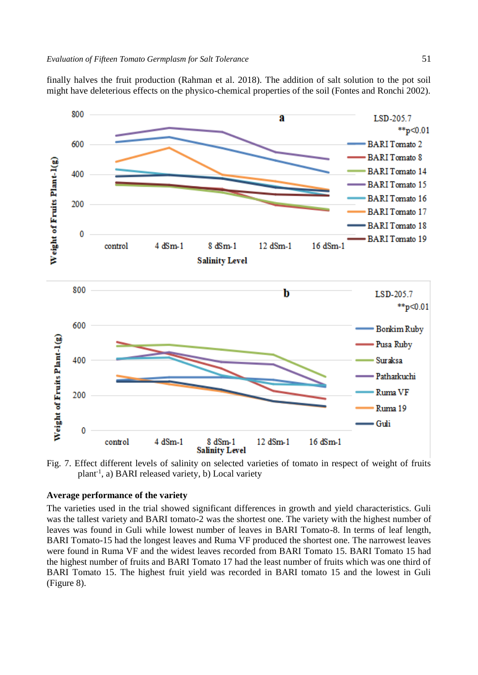finally halves the fruit production (Rahman et al. 2018). The addition of salt solution to the pot soil might have deleterious effects on the physico-chemical properties of the soil (Fontes and Ronchi 2002).



Fig. 7. Effect different levels of salinity on selected varieties of tomato in respect of weight of fruits plant-1 , a) BARI released variety, b) Local variety

#### **Average performance of the variety**

The varieties used in the trial showed significant differences in growth and yield characteristics. Guli was the tallest variety and BARI tomato-2 was the shortest one. The variety with the highest number of leaves was found in Guli while lowest number of leaves in BARI Tomato-8. In terms of leaf length, BARI Tomato-15 had the longest leaves and Ruma VF produced the shortest one. The narrowest leaves were found in Ruma VF and the widest leaves recorded from BARI Tomato 15. BARI Tomato 15 had the highest number of fruits and BARI Tomato 17 had the least number of fruits which was one third of BARI Tomato 15. The highest fruit yield was recorded in BARI tomato 15 and the lowest in Guli (Figure 8).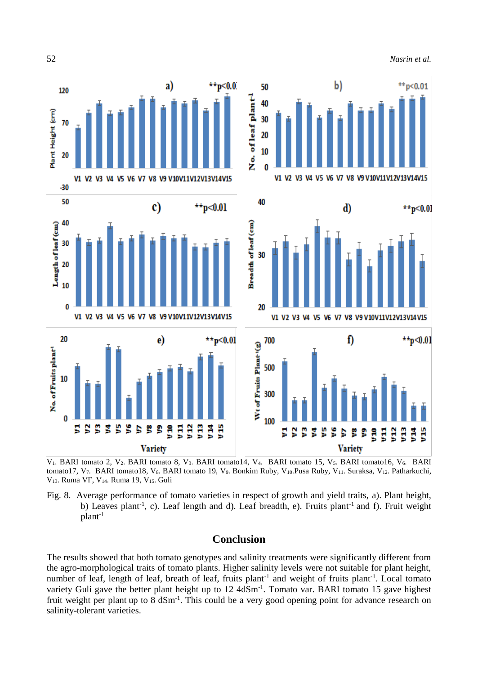

52 *Nasrin et al.*

Plant Height (cm)

Length of leaf (cm)

No. of Fruits plant<sup>1</sup>



V1. BARI tomato 2, V2. BARI tomato 8, V3. BARI tomato14, V4. BARI tomato 15, V5. BARI tomato16, V6. BARI tomato17, V7. BARI tomato18, V8. BARI tomato 19, V9. Bonkim Ruby, V10.Pusa Ruby, V11. Suraksa, V12. Patharkuchi, V13. Ruma VF, V14. Ruma 19, V15. Guli

ĝ

ĝ

å

š



## **Conclusion**

The results showed that both tomato genotypes and salinity treatments were significantly different from the agro-morphological traits of tomato plants. Higher salinity levels were not suitable for plant height, number of leaf, length of leaf, breath of leaf, fruits plant<sup>-1</sup> and weight of fruits plant<sup>-1</sup>. Local tomato variety Guli gave the better plant height up to 12 4dSm<sup>-1</sup>. Tomato var. BARI tomato 15 gave highest fruit weight per plant up to 8 dSm<sup>-1</sup>. This could be a very good opening point for advance research on salinity-tolerant varieties.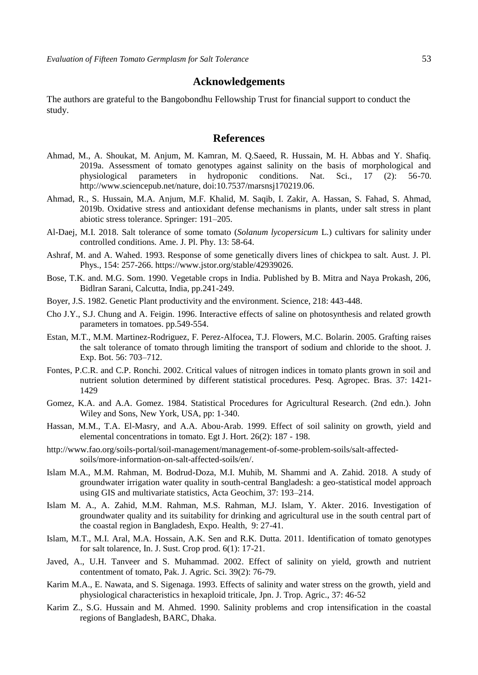## **Acknowledgements**

The authors are grateful to the Bangobondhu Fellowship Trust for financial support to conduct the study.

### **References**

- Ahmad, M., A. Shoukat, M. Anjum, M. Kamran, M. Q.Saeed, R. Hussain, M. H. Abbas and Y. Shafiq. 2019a. Assessment of tomato genotypes against salinity on the basis of morphological and physiological parameters in hydroponic conditions. Nat. Sci., 17 (2): 56-70. http://www.sciencepub.net/nature, doi:10.7537/marsnsj170219.06.
- Ahmad, R., S. Hussain, M.A. Anjum, M.F. Khalid, M. Saqib, I. Zakir, A. Hassan, S. Fahad, S. Ahmad, 2019b. Oxidative stress and antioxidant defense mechanisms in plants, under salt stress in plant abiotic stress tolerance. Springer: 191–205.
- Al-Daej, M.I. 2018. Salt tolerance of some tomato (*Solanum lycopersicum* L.) cultivars for salinity under controlled conditions. Ame. J. Pl. Phy. 13: 58-64.
- Ashraf, M. and A. Wahed. 1993. Response of some genetically divers lines of chickpea to salt. Aust. J. Pl. Phys., 154: 257-266. https://www.jstor.org/stable/42939026.
- Bose, T.K. and. M.G. Som. 1990. Vegetable crops in India. Published by B. Mitra and Naya Prokash, 206, Bidlran Sarani, Calcutta, India, pp.241-249.
- Boyer, J.S. 1982. Genetic Plant productivity and the environment. Science, 218: 443-448.
- Cho J.Y., S.J. Chung and A. Feigin. 1996. Interactive effects of saline on photosynthesis and related growth parameters in tomatoes. pp.549-554.
- Estan, M.T., M.M. Martinez-Rodriguez, F. Perez-Alfocea, T.J. Flowers, M.C. Bolarin. 2005. Grafting raises the salt tolerance of tomato through limiting the transport of sodium and chloride to the shoot. J. Exp. Bot. 56: 703–712.
- Fontes, P.C.R. and C.P. Ronchi. 2002. Critical values of nitrogen indices in tomato plants grown in soil and nutrient solution determined by different statistical procedures. Pesq. Agropec. Bras. 37: 1421- 1429
- Gomez, K.A. and A.A. Gomez. 1984. Statistical Procedures for Agricultural Research. (2nd edn.). John Wiley and Sons, New York, USA, pp: 1-340.
- Hassan, M.M., T.A. El-Masry, and A.A. Abou-Arab. 1999. Effect of soil salinity on growth, yield and elemental concentrations in tomato. Egt J. Hort. 26(2): 187 - 198.
- [http://www.fao.org/soils-portal/soil-management/management-of-some-problem-soils/salt-affected](http://www.fao.org/soils-portal/soil-management/management-of-some-problem-soils/salt-affected-soils/more-information-on-salt-affected-soils/en/)[soils/more-information-on-salt-affected-soils/en/.](http://www.fao.org/soils-portal/soil-management/management-of-some-problem-soils/salt-affected-soils/more-information-on-salt-affected-soils/en/)
- Islam M.A., M.M. Rahman, M. Bodrud-Doza, M.I. Muhib, M. Shammi and A. Zahid. 2018. A study of groundwater irrigation water quality in south-central Bangladesh: a geo-statistical model approach using GIS and multivariate statistics, Acta Geochim, 37: 193–214.
- Islam M. A., A. Zahid, M.M. Rahman, M.S. Rahman, M.J. Islam, Y. Akter. 2016. Investigation of groundwater quality and its suitability for drinking and agricultural use in the south central part of the coastal region in Bangladesh, Expo. Health, 9: 27-41.
- Islam, M.T., M.I. Aral, M.A. Hossain, A.K. Sen and R.K. Dutta. 2011. Identification of tomato genotypes for salt tolarence, In. J. Sust. Crop prod. 6(1): 17-21.
- Javed, A., U.H. Tanveer and S. Muhammad. 2002. Effect of salinity on yield, growth and nutrient contentment of tomato, Pak. J. Agric. Sci. 39(2): 76-79.
- Karim M.A., E. Nawata, and S. Sigenaga. 1993. Effects of salinity and water stress on the growth, yield and physiological characteristics in hexaploid triticale, Jpn. J. Trop. Agric., 37: 46-52
- Karim Z., S.G. Hussain and M. Ahmed. 1990. Salinity problems and crop intensification in the coastal regions of Bangladesh, BARC, Dhaka.